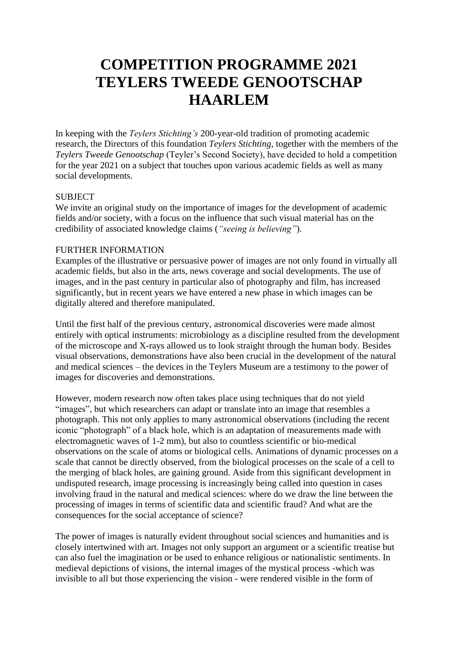# **COMPETITION PROGRAMME 2021 TEYLERS TWEEDE GENOOTSCHAP HAARLEM**

In keeping with the *Teylers Stichting's* 200-year-old tradition of promoting academic research, the Directors of this foundation *Teylers Stichting*, together with the members of the *Teylers Tweede Genootschap* (Teyler's Second Society), have decided to hold a competition for the year 2021 on a subject that touches upon various academic fields as well as many social developments.

# **SUBJECT**

We invite an original study on the importance of images for the development of academic fields and/or society, with a focus on the influence that such visual material has on the credibility of associated knowledge claims (*"seeing is believing"*).

# FURTHER INFORMATION

Examples of the illustrative or persuasive power of images are not only found in virtually all academic fields, but also in the arts, news coverage and social developments. The use of images, and in the past century in particular also of photography and film, has increased significantly, but in recent years we have entered a new phase in which images can be digitally altered and therefore manipulated.

Until the first half of the previous century, astronomical discoveries were made almost entirely with optical instruments: microbiology as a discipline resulted from the development of the microscope and X-rays allowed us to look straight through the human body. Besides visual observations, demonstrations have also been crucial in the development of the natural and medical sciences – the devices in the Teylers Museum are a testimony to the power of images for discoveries and demonstrations.

However, modern research now often takes place using techniques that do not yield "images", but which researchers can adapt or translate into an image that resembles a photograph. This not only applies to many astronomical observations (including the recent iconic "photograph" of a black hole, which is an adaptation of measurements made with electromagnetic waves of 1-2 mm), but also to countless scientific or bio-medical observations on the scale of atoms or biological cells. Animations of dynamic processes on a scale that cannot be directly observed, from the biological processes on the scale of a cell to the merging of black holes, are gaining ground. Aside from this significant development in undisputed research, image processing is increasingly being called into question in cases involving fraud in the natural and medical sciences: where do we draw the line between the processing of images in terms of scientific data and scientific fraud? And what are the consequences for the social acceptance of science?

The power of images is naturally evident throughout social sciences and humanities and is closely intertwined with art. Images not only support an argument or a scientific treatise but can also fuel the imagination or be used to enhance religious or nationalistic sentiments. In medieval depictions of visions, the internal images of the mystical process -which was invisible to all but those experiencing the vision - were rendered visible in the form of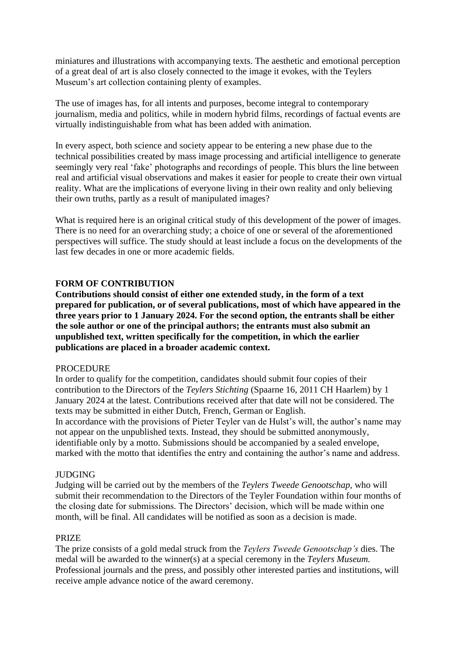miniatures and illustrations with accompanying texts. The aesthetic and emotional perception of a great deal of art is also closely connected to the image it evokes, with the Teylers Museum's art collection containing plenty of examples.

The use of images has, for all intents and purposes, become integral to contemporary journalism, media and politics, while in modern hybrid films, recordings of factual events are virtually indistinguishable from what has been added with animation.

In every aspect, both science and society appear to be entering a new phase due to the technical possibilities created by mass image processing and artificial intelligence to generate seemingly very real 'fake' photographs and recordings of people. This blurs the line between real and artificial visual observations and makes it easier for people to create their own virtual reality. What are the implications of everyone living in their own reality and only believing their own truths, partly as a result of manipulated images?

What is required here is an original critical study of this development of the power of images. There is no need for an overarching study; a choice of one or several of the aforementioned perspectives will suffice. The study should at least include a focus on the developments of the last few decades in one or more academic fields.

# **FORM OF CONTRIBUTION**

**Contributions should consist of either one extended study, in the form of a text prepared for publication, or of several publications, most of which have appeared in the three years prior to 1 January 2024. For the second option, the entrants shall be either the sole author or one of the principal authors; the entrants must also submit an unpublished text, written specifically for the competition, in which the earlier publications are placed in a broader academic context.**

#### PROCEDURE

In order to qualify for the competition, candidates should submit four copies of their contribution to the Directors of the *Teylers Stichting* (Spaarne 16, 2011 CH Haarlem) by 1 January 2024 at the latest. Contributions received after that date will not be considered. The texts may be submitted in either Dutch, French, German or English.

In accordance with the provisions of Pieter Teyler van de Hulst's will, the author's name may not appear on the unpublished texts. Instead, they should be submitted anonymously, identifiable only by a motto. Submissions should be accompanied by a sealed envelope, marked with the motto that identifies the entry and containing the author's name and address.

#### JUDGING

Judging will be carried out by the members of the *Teylers Tweede Genootschap,* who will submit their recommendation to the Directors of the Teyler Foundation within four months of the closing date for submissions. The Directors' decision, which will be made within one month, will be final. All candidates will be notified as soon as a decision is made.

#### PRIZE

The prize consists of a gold medal struck from the *Teylers Tweede Genootschap's* dies. The medal will be awarded to the winner(s) at a special ceremony in the *Teylers Museum.* Professional journals and the press, and possibly other interested parties and institutions, will receive ample advance notice of the award ceremony.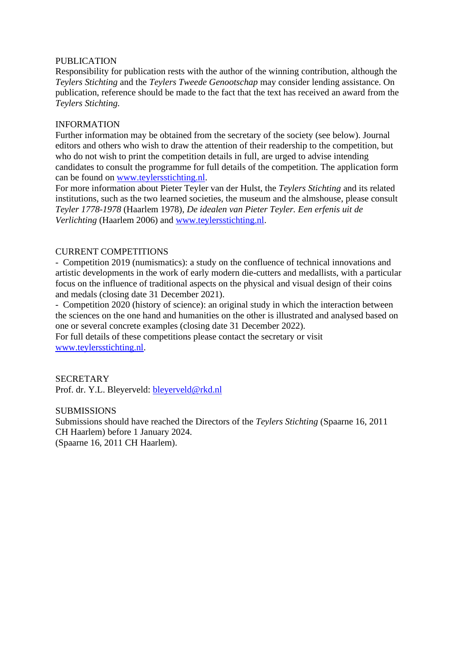# PUBLICATION

Responsibility for publication rests with the author of the winning contribution, although the *Teylers Stichting* and the *Teylers Tweede Genootschap* may consider lending assistance. On publication, reference should be made to the fact that the text has received an award from the *Teylers Stichting.*

# INFORMATION

Further information may be obtained from the secretary of the society (see below). Journal editors and others who wish to draw the attention of their readership to the competition, but who do not wish to print the competition details in full, are urged to advise intending candidates to consult the programme for full details of the competition. The application form can be found on [www.teylersstichting.nl.](http://www.teylersstichting.nl/)

For more information about Pieter Teyler van der Hulst, the *Teylers Stichting* and its related institutions, such as the two learned societies, the museum and the almshouse, please consult *Teyler 1778-1978* (Haarlem 1978), *De idealen van Pieter Teyler. Een erfenis uit de Verlichting* (Haarlem 2006) and [www.teylersstichting.nl.](http://www.teylersstichting.nl/)

# CURRENT COMPETITIONS

- Competition 2019 (numismatics): a study on the confluence of technical innovations and artistic developments in the work of early modern die-cutters and medallists, with a particular focus on the influence of traditional aspects on the physical and visual design of their coins and medals (closing date 31 December 2021).

- Competition 2020 (history of science): an original study in which the interaction between the sciences on the one hand and humanities on the other is illustrated and analysed based on one or several concrete examples (closing date 31 December 2022).

For full details of these competitions please contact the secretary or visit [www.teylersstichting.nl.](http://www.teylersstichting.nl/)

# **SECRETARY**

Prof. dr. Y.L. Bleyerveld: [bleyerveld@rkd.nl](mailto:bleyerveld@rkd.nl)

#### **SUBMISSIONS**

Submissions should have reached the Directors of the *Teylers Stichting* (Spaarne 16, 2011 CH Haarlem) before 1 January 2024. (Spaarne 16, 2011 CH Haarlem).